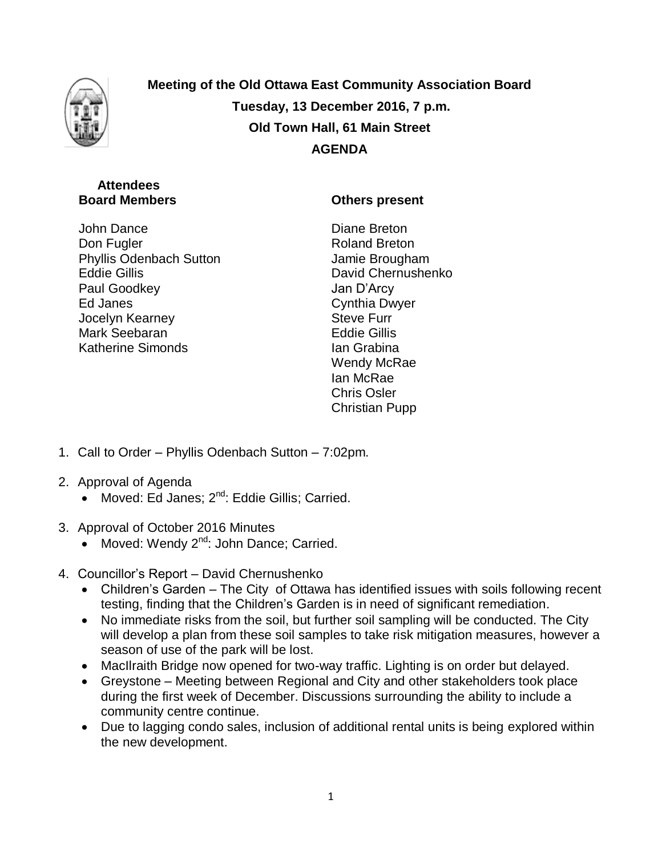

**Meeting of the Old Ottawa East Community Association Board Tuesday, 13 December 2016, 7 p.m. Old Town Hall, 61 Main Street AGENDA**

# **Attendees Board Members**

John Dance Don Fugler Phyllis Odenbach Sutton Eddie Gillis Paul Goodkey Ed Janes Jocelyn Kearney Mark Seebaran Katherine Simonds

# **Others present**

Diane Breton Roland Breton Jamie Brougham David Chernushenko Jan D'Arcy Cynthia Dwyer Steve Furr Eddie Gillis Ian Grabina Wendy McRae Ian McRae Chris Osler Christian Pupp

- 1. Call to Order Phyllis Odenbach Sutton 7:02pm.
- 2. Approval of Agenda
	- Moved: Ed Janes; 2<sup>nd</sup>: Eddie Gillis; Carried.
- 3. Approval of October 2016 Minutes
	- $\bullet$  Moved: Wendy 2<sup>nd</sup>: John Dance; Carried.
- 4. Councillor's Report David Chernushenko
	- Children's Garden The City of Ottawa has identified issues with soils following recent testing, finding that the Children's Garden is in need of significant remediation.
	- No immediate risks from the soil, but further soil sampling will be conducted. The City will develop a plan from these soil samples to take risk mitigation measures, however a season of use of the park will be lost.
	- MacIlraith Bridge now opened for two-way traffic. Lighting is on order but delayed.
	- Greystone Meeting between Regional and City and other stakeholders took place during the first week of December. Discussions surrounding the ability to include a community centre continue.
	- Due to lagging condo sales, inclusion of additional rental units is being explored within the new development.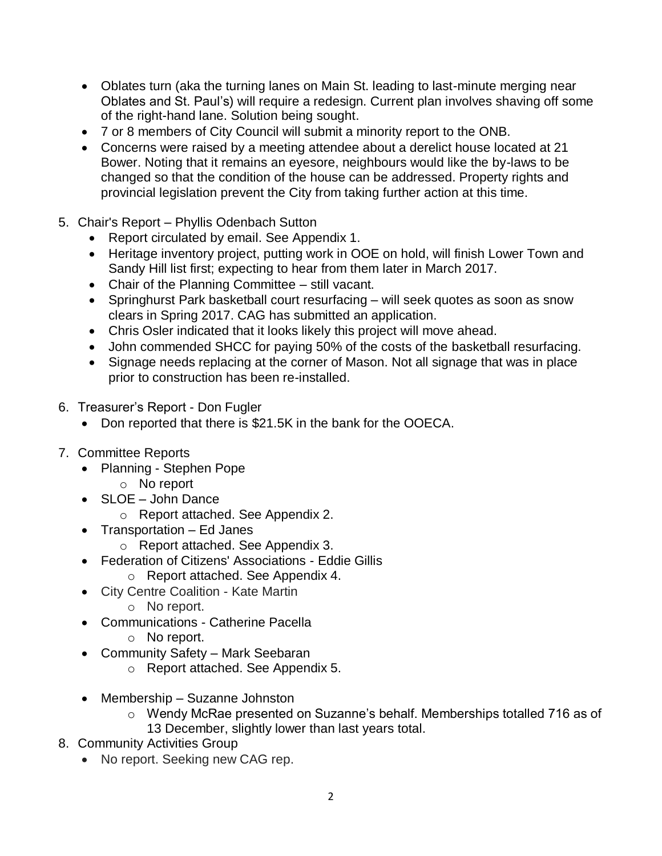- Oblates turn (aka the turning lanes on Main St. leading to last-minute merging near Oblates and St. Paul's) will require a redesign. Current plan involves shaving off some of the right-hand lane. Solution being sought.
- 7 or 8 members of City Council will submit a minority report to the ONB.
- Concerns were raised by a meeting attendee about a derelict house located at 21 Bower. Noting that it remains an eyesore, neighbours would like the by-laws to be changed so that the condition of the house can be addressed. Property rights and provincial legislation prevent the City from taking further action at this time.
- 5. Chair's Report Phyllis Odenbach Sutton
	- Report circulated by email. See Appendix 1.
	- Heritage inventory project, putting work in OOE on hold, will finish Lower Town and Sandy Hill list first; expecting to hear from them later in March 2017.
	- Chair of the Planning Committee still vacant.
	- Springhurst Park basketball court resurfacing will seek quotes as soon as snow clears in Spring 2017. CAG has submitted an application.
	- Chris Osler indicated that it looks likely this project will move ahead.
	- John commended SHCC for paying 50% of the costs of the basketball resurfacing.
	- Signage needs replacing at the corner of Mason. Not all signage that was in place prior to construction has been re-installed.
- 6. Treasurer's Report Don Fugler
	- Don reported that there is \$21.5K in the bank for the OOECA.
- 7. Committee Reports
	- Planning Stephen Pope
		- o No report
	- SLOE John Dance
		- o Report attached. See Appendix 2.
	- Transportation Ed Janes
		- o Report attached. See Appendix 3.
	- Federation of Citizens' Associations Eddie Gillis
		- o Report attached. See Appendix 4.
	- City Centre Coalition Kate Martin
		- o No report.
	- Communications Catherine Pacella
		- o No report.
	- Community Safety Mark Seebaran
		- o Report attached. See Appendix 5.
	- Membership Suzanne Johnston
		- o Wendy McRae presented on Suzanne's behalf. Memberships totalled 716 as of 13 December, slightly lower than last years total.
- 8. Community Activities Group
	- No report. Seeking new CAG rep.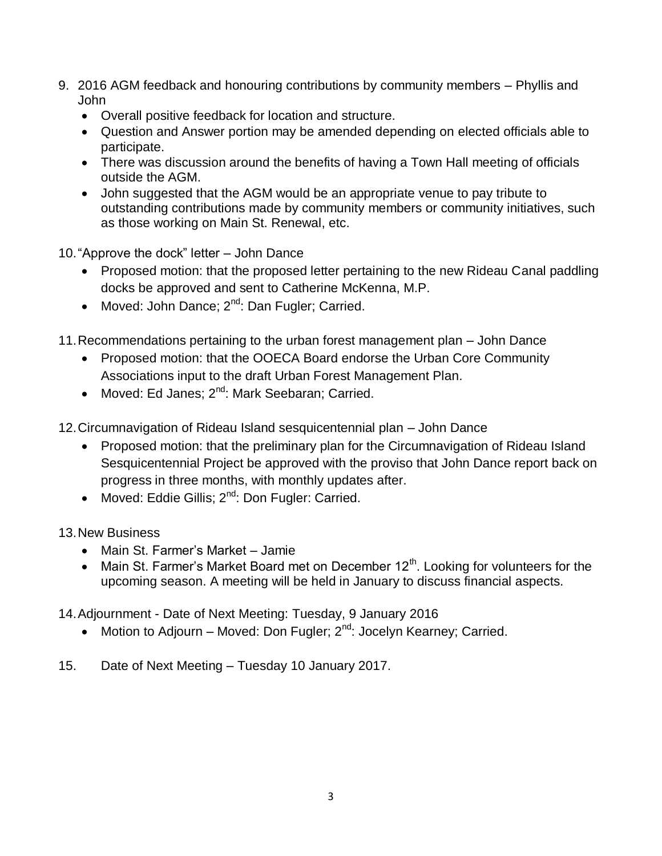- 9. 2016 AGM feedback and honouring contributions by community members Phyllis and John
	- Overall positive feedback for location and structure.
	- Question and Answer portion may be amended depending on elected officials able to participate.
	- There was discussion around the benefits of having a Town Hall meeting of officials outside the AGM.
	- John suggested that the AGM would be an appropriate venue to pay tribute to outstanding contributions made by community members or community initiatives, such as those working on Main St. Renewal, etc.
- 10."Approve the dock" letter John Dance
	- Proposed motion: that the proposed letter pertaining to the new Rideau Canal paddling docks be approved and sent to Catherine McKenna, M.P.
	- Moved: John Dance;  $2^{nd}$ : Dan Fugler; Carried.
- 11.Recommendations pertaining to the urban forest management plan John Dance
	- Proposed motion: that the OOECA Board endorse the Urban Core Community Associations input to the draft Urban Forest Management Plan.
	- Moved: Ed Janes: 2<sup>nd</sup>: Mark Seebaran: Carried.
- 12.Circumnavigation of Rideau Island sesquicentennial plan John Dance
	- Proposed motion: that the preliminary plan for the Circumnavigation of Rideau Island Sesquicentennial Project be approved with the proviso that John Dance report back on progress in three months, with monthly updates after.
	- Moved: Eddie Gillis; 2<sup>nd</sup>: Don Fugler: Carried.
- 13.New Business
	- Main St. Farmer's Market Jamie
	- Main St. Farmer's Market Board met on December  $12<sup>th</sup>$ . Looking for volunteers for the upcoming season. A meeting will be held in January to discuss financial aspects.
- 14.Adjournment Date of Next Meeting: Tuesday, 9 January 2016
	- Motion to Adjourn Moved: Don Fugler;  $2^{nd}$ : Jocelyn Kearney; Carried.
- 15. Date of Next Meeting Tuesday 10 January 2017.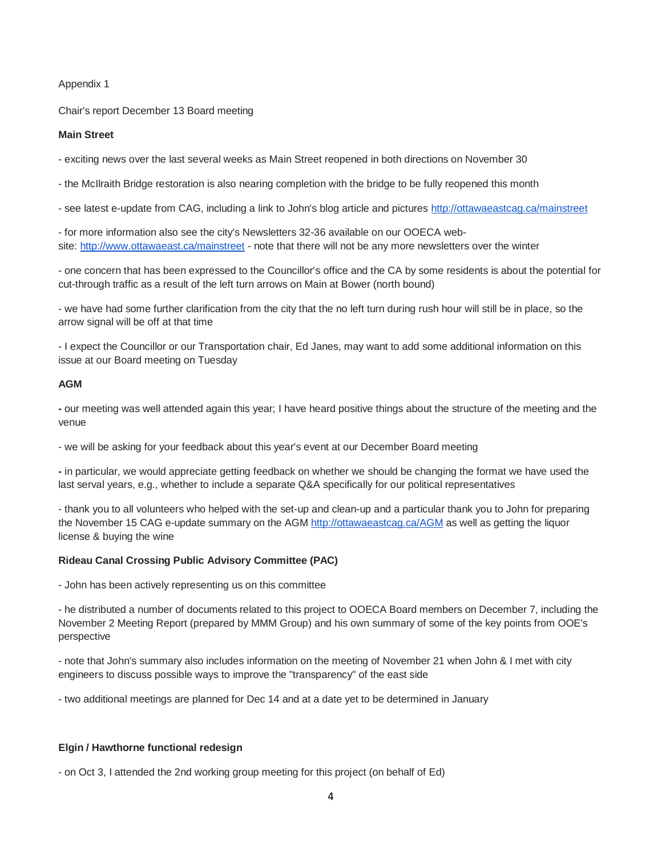#### Appendix 1

Chair's report December 13 Board meeting

#### **Main Street**

- exciting news over the last several weeks as Main Street reopened in both directions on November 30

- the McIlraith Bridge restoration is also nearing completion with the bridge to be fully reopened this month

- see latest e-update from CAG, including a link to John's blog article and pictures <http://ottawaeastcag.ca/mainstreet>

- for more information also see the city's Newsletters 32-36 available on our OOECA website: <http://www.ottawaeast.ca/mainstreet> - note that there will not be any more newsletters over the winter

- one concern that has been expressed to the Councillor's office and the CA by some residents is about the potential for cut-through traffic as a result of the left turn arrows on Main at Bower (north bound)

- we have had some further clarification from the city that the no left turn during rush hour will still be in place, so the arrow signal will be off at that time

- I expect the Councillor or our Transportation chair, Ed Janes, may want to add some additional information on this issue at our Board meeting on Tuesday

## **AGM**

**-** our meeting was well attended again this year; I have heard positive things about the structure of the meeting and the venue

- we will be asking for your feedback about this year's event at our December Board meeting

**-** in particular, we would appreciate getting feedback on whether we should be changing the format we have used the last serval years, e.g., whether to include a separate Q&A specifically for our political representatives

- thank you to all volunteers who helped with the set-up and clean-up and a particular thank you to John for preparing the November 15 CAG e-update summary on the AGM <http://ottawaeastcag.ca/AGM> as well as getting the liquor license & buying the wine

#### **Rideau Canal Crossing Public Advisory Committee (PAC)**

- John has been actively representing us on this committee

- he distributed a number of documents related to this project to OOECA Board members on December 7, including the November 2 Meeting Report (prepared by MMM Group) and his own summary of some of the key points from OOE's perspective

- note that John's summary also includes information on the meeting of November 21 when John & I met with city engineers to discuss possible ways to improve the "transparency" of the east side

- two additional meetings are planned for Dec 14 and at a date yet to be determined in January

#### **Elgin / Hawthorne functional redesign**

- on Oct 3, I attended the 2nd working group meeting for this project (on behalf of Ed)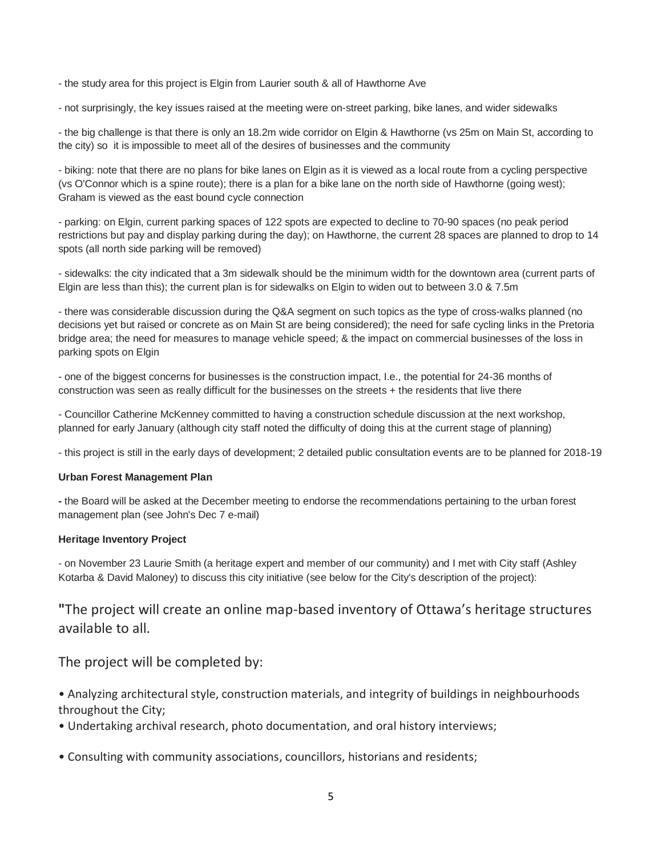- the study area for this project is Elgin from Laurier south & all of Hawthorne Ave

- not surprisingly, the key issues raised at the meeting were on-street parking, bike lanes, and wider sidewalks

- the big challenge is that there is only an 18.2m wide corridor on Elgin & Hawthorne (vs 25m on Main St, according to the city) so it is impossible to meet all of the desires of businesses and the community

- biking: note that there are no plans for bike lanes on Elgin as it is viewed as a local route from a cycling perspective (vs O'Connor which is a spine route); there is a plan for a bike lane on the north side of Hawthorne (going west); Graham is viewed as the east bound cycle connection

- parking: on Elgin, current parking spaces of 122 spots are expected to decline to 70-90 spaces (no peak period restrictions but pay and display parking during the day); on Hawthorne, the current 28 spaces are planned to drop to 14 spots (all north side parking will be removed)

- sidewalks: the city indicated that a 3m sidewalk should be the minimum width for the downtown area (current parts of Elgin are less than this); the current plan is for sidewalks on Elgin to widen out to between 3.0 & 7.5m

- there was considerable discussion during the Q&A segment on such topics as the type of cross-walks planned (no decisions yet but raised or concrete as on Main St are being considered); the need for safe cycling links in the Pretoria bridge area; the need for measures to manage vehicle speed; & the impact on commercial businesses of the loss in parking spots on Elgin

- one of the biggest concerns for businesses is the construction impact, I.e., the potential for 24-36 months of construction was seen as really difficult for the businesses on the streets + the residents that live there

- Councillor Catherine McKenney committed to having a construction schedule discussion at the next workshop, planned for early January (although city staff noted the difficulty of doing this at the current stage of planning)

- this project is still in the early days of development; 2 detailed public consultation events are to be planned for 2018-19

#### **Urban Forest Management Plan**

**-** the Board will be asked at the December meeting to endorse the recommendations pertaining to the urban forest management plan (see John's Dec 7 e-mail)

#### **Heritage Inventory Project**

- on November 23 Laurie Smith (a heritage expert and member of our community) and I met with City staff (Ashley Kotarba & David Maloney) to discuss this city initiative (see below for the City's description of the project):

# **"**The project will create an online map-based inventory of Ottawa's heritage structures available to all.

The project will be completed by:

• Analyzing architectural style, construction materials, and integrity of buildings in neighbourhoods throughout the City;

- Undertaking archival research, photo documentation, and oral history interviews;
- Consulting with community associations, councillors, historians and residents;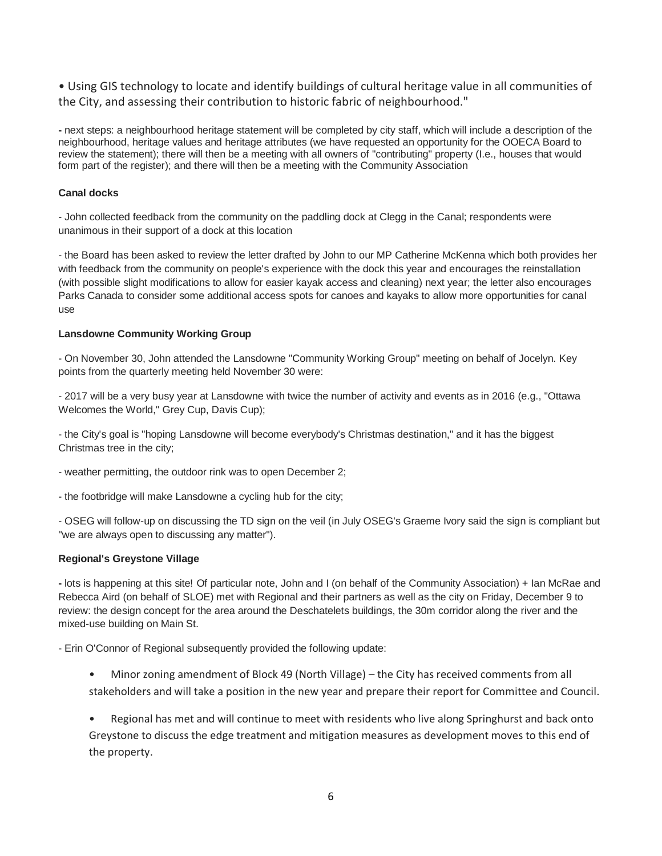• Using GIS technology to locate and identify buildings of cultural heritage value in all communities of the City, and assessing their contribution to historic fabric of neighbourhood."

**-** next steps: a neighbourhood heritage statement will be completed by city staff, which will include a description of the neighbourhood, heritage values and heritage attributes (we have requested an opportunity for the OOECA Board to review the statement); there will then be a meeting with all owners of "contributing" property (I.e., houses that would form part of the register); and there will then be a meeting with the Community Association

## **Canal docks**

- John collected feedback from the community on the paddling dock at Clegg in the Canal; respondents were unanimous in their support of a dock at this location

- the Board has been asked to review the letter drafted by John to our MP Catherine McKenna which both provides her with feedback from the community on people's experience with the dock this year and encourages the reinstallation (with possible slight modifications to allow for easier kayak access and cleaning) next year; the letter also encourages Parks Canada to consider some additional access spots for canoes and kayaks to allow more opportunities for canal use

## **Lansdowne Community Working Group**

- On November 30, John attended the Lansdowne "Community Working Group" meeting on behalf of Jocelyn. Key points from the quarterly meeting held November 30 were:

- 2017 will be a very busy year at Lansdowne with twice the number of activity and events as in 2016 (e.g., "Ottawa Welcomes the World," Grey Cup, Davis Cup);

- the City's goal is "hoping Lansdowne will become everybody's Christmas destination," and it has the biggest Christmas tree in the city;

- weather permitting, the outdoor rink was to open December 2;
- the footbridge will make Lansdowne a cycling hub for the city;

- OSEG will follow-up on discussing the TD sign on the veil (in July OSEG's Graeme Ivory said the sign is compliant but "we are always open to discussing any matter").

#### **Regional's Greystone Village**

**-** lots is happening at this site! Of particular note, John and I (on behalf of the Community Association) + Ian McRae and Rebecca Aird (on behalf of SLOE) met with Regional and their partners as well as the city on Friday, December 9 to review: the design concept for the area around the Deschatelets buildings, the 30m corridor along the river and the mixed-use building on Main St.

- Erin O'Connor of Regional subsequently provided the following update:

• Minor zoning amendment of Block 49 (North Village) – the City has received comments from all stakeholders and will take a position in the new year and prepare their report for Committee and Council.

• Regional has met and will continue to meet with residents who live along Springhurst and back onto Greystone to discuss the edge treatment and mitigation measures as development moves to this end of the property.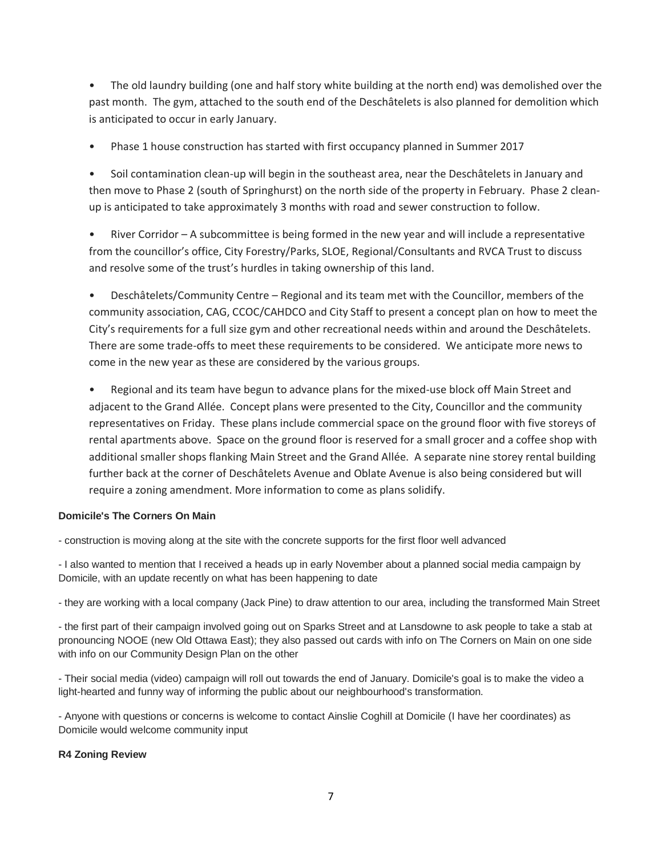• The old laundry building (one and half story white building at the north end) was demolished over the past month. The gym, attached to the south end of the Deschâtelets is also planned for demolition which is anticipated to occur in early January.

• Phase 1 house construction has started with first occupancy planned in Summer 2017

• Soil contamination clean-up will begin in the southeast area, near the Deschâtelets in January and then move to Phase 2 (south of Springhurst) on the north side of the property in February. Phase 2 cleanup is anticipated to take approximately 3 months with road and sewer construction to follow.

• River Corridor – A subcommittee is being formed in the new year and will include a representative from the councillor's office, City Forestry/Parks, SLOE, Regional/Consultants and RVCA Trust to discuss and resolve some of the trust's hurdles in taking ownership of this land.

• Deschâtelets/Community Centre – Regional and its team met with the Councillor, members of the community association, CAG, CCOC/CAHDCO and City Staff to present a concept plan on how to meet the City's requirements for a full size gym and other recreational needs within and around the Deschâtelets. There are some trade-offs to meet these requirements to be considered. We anticipate more news to come in the new year as these are considered by the various groups.

• Regional and its team have begun to advance plans for the mixed-use block off Main Street and adjacent to the Grand Allée. Concept plans were presented to the City, Councillor and the community representatives on Friday. These plans include commercial space on the ground floor with five storeys of rental apartments above. Space on the ground floor is reserved for a small grocer and a coffee shop with additional smaller shops flanking Main Street and the Grand Allée. A separate nine storey rental building further back at the corner of Deschâtelets Avenue and Oblate Avenue is also being considered but will require a zoning amendment. More information to come as plans solidify.

# **Domicile's The Corners On Main**

- construction is moving along at the site with the concrete supports for the first floor well advanced

- I also wanted to mention that I received a heads up in early November about a planned social media campaign by Domicile, with an update recently on what has been happening to date

- they are working with a local company (Jack Pine) to draw attention to our area, including the transformed Main Street

- the first part of their campaign involved going out on Sparks Street and at Lansdowne to ask people to take a stab at pronouncing NOOE (new Old Ottawa East); they also passed out cards with info on The Corners on Main on one side with info on our Community Design Plan on the other

- Their social media (video) campaign will roll out towards the end of January. Domicile's goal is to make the video a light-hearted and funny way of informing the public about our neighbourhood's transformation.

- Anyone with questions or concerns is welcome to contact Ainslie Coghill at Domicile (I have her coordinates) as Domicile would welcome community input

# **R4 Zoning Review**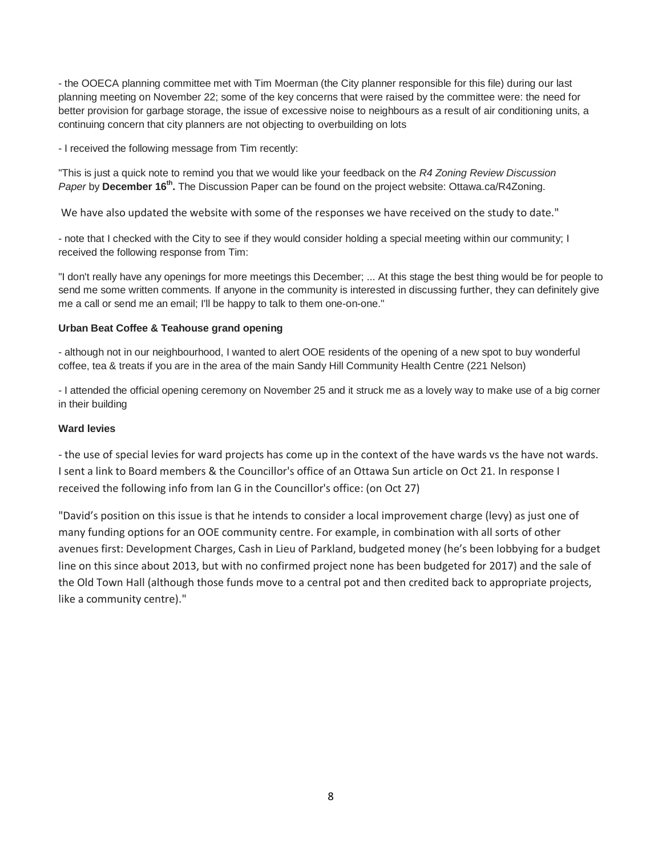- the OOECA planning committee met with Tim Moerman (the City planner responsible for this file) during our last planning meeting on November 22; some of the key concerns that were raised by the committee were: the need for better provision for garbage storage, the issue of excessive noise to neighbours as a result of air conditioning units, a continuing concern that city planners are not objecting to overbuilding on lots

- I received the following message from Tim recently:

"This is just a quick note to remind you that we would like your feedback on the *R4 Zoning Review Discussion*  Paper by December 16<sup>th</sup>. The Discussion Paper can be found on the project website: Ottawa.ca/R4Zoning.

We have also updated the website with some of the responses we have received on the study to date."

- note that I checked with the City to see if they would consider holding a special meeting within our community; I received the following response from Tim:

"I don't really have any openings for more meetings this December; ... At this stage the best thing would be for people to send me some written comments. If anyone in the community is interested in discussing further, they can definitely give me a call or send me an email; I'll be happy to talk to them one-on-one."

## **Urban Beat Coffee & Teahouse grand opening**

- although not in our neighbourhood, I wanted to alert OOE residents of the opening of a new spot to buy wonderful coffee, tea & treats if you are in the area of the main Sandy Hill Community Health Centre (221 Nelson)

- I attended the official opening ceremony on November 25 and it struck me as a lovely way to make use of a big corner in their building

## **Ward levies**

- the use of special levies for ward projects has come up in the context of the have wards vs the have not wards. I sent a link to Board members & the Councillor's office of an Ottawa Sun article on Oct 21. In response I received the following info from Ian G in the Councillor's office: (on Oct 27)

"David's position on this issue is that he intends to consider a local improvement charge (levy) as just one of many funding options for an OOE community centre. For example, in combination with all sorts of other avenues first: Development Charges, Cash in Lieu of Parkland, budgeted money (he's been lobbying for a budget line on this since about 2013, but with no confirmed project none has been budgeted for 2017) and the sale of the Old Town Hall (although those funds move to a central pot and then credited back to appropriate projects, like a community centre)."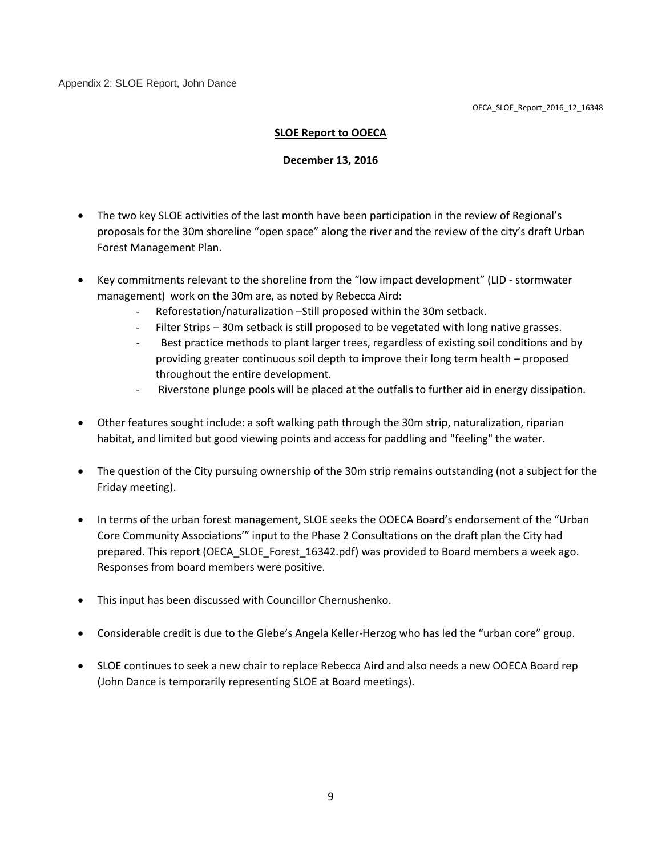Appendix 2: SLOE Report, John Dance

# **SLOE Report to OOECA**

## **December 13, 2016**

- The two key SLOE activities of the last month have been participation in the review of Regional's proposals for the 30m shoreline "open space" along the river and the review of the city's draft Urban Forest Management Plan.
- Key commitments relevant to the shoreline from the "low impact development" (LID stormwater management) work on the 30m are, as noted by Rebecca Aird:
	- Reforestation/naturalization –Still proposed within the 30m setback.
	- Filter Strips 30m setback is still proposed to be vegetated with long native grasses.
	- Best practice methods to plant larger trees, regardless of existing soil conditions and by providing greater continuous soil depth to improve their long term health – proposed throughout the entire development.
	- Riverstone plunge pools will be placed at the outfalls to further aid in energy dissipation.
- Other features sought include: a soft walking path through the 30m strip, naturalization, riparian habitat, and limited but good viewing points and access for paddling and "feeling" the water.
- The question of the City pursuing ownership of the 30m strip remains outstanding (not a subject for the Friday meeting).
- In terms of the urban forest management, SLOE seeks the OOECA Board's endorsement of the "Urban Core Community Associations'" input to the Phase 2 Consultations on the draft plan the City had prepared. This report (OECA\_SLOE\_Forest\_16342.pdf) was provided to Board members a week ago. Responses from board members were positive.
- This input has been discussed with Councillor Chernushenko.
- Considerable credit is due to the Glebe's Angela Keller-Herzog who has led the "urban core" group.
- SLOE continues to seek a new chair to replace Rebecca Aird and also needs a new OOECA Board rep (John Dance is temporarily representing SLOE at Board meetings).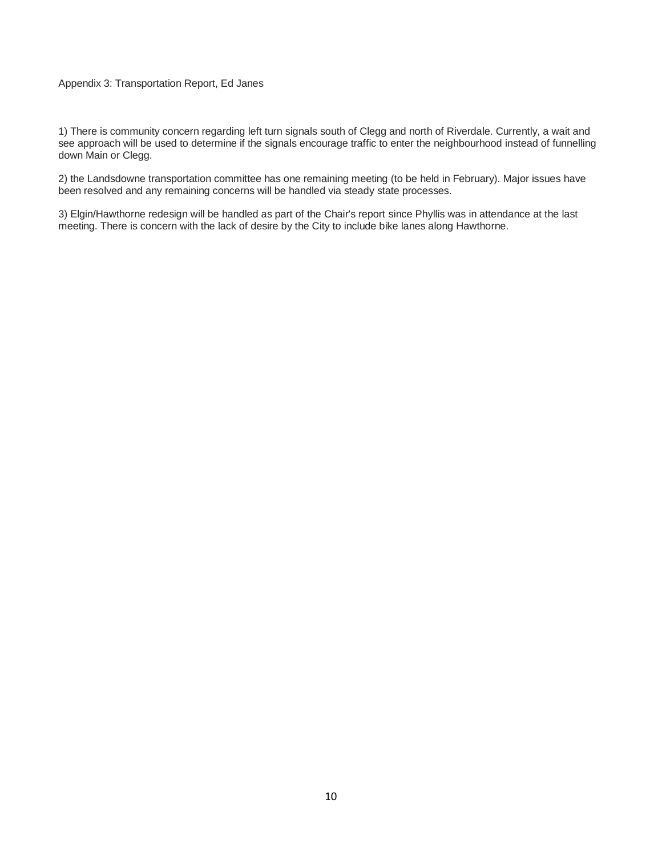#### Appendix 3: Transportation Report, Ed Janes

1) There is community concern regarding left turn signals south of Clegg and north of Riverdale. Currently, a wait and see approach will be used to determine if the signals encourage traffic to enter the neighbourhood instead of funnelling down Main or Clegg.

2) the Landsdowne transportation committee has one remaining meeting (to be held in February). Major issues have been resolved and any remaining concerns will be handled via steady state processes.

3) Elgin/Hawthorne redesign will be handled as part of the Chair's report since Phyllis was in attendance at the last meeting. There is concern with the lack of desire by the City to include bike lanes along Hawthorne.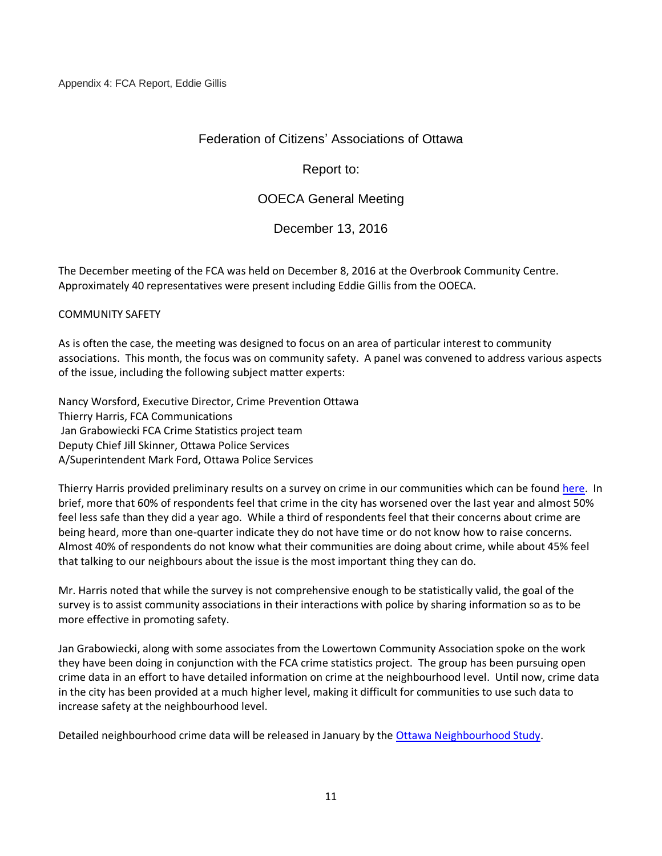# Federation of Citizens' Associations of Ottawa

Report to:

# OOECA General Meeting

# December 13, 2016

The December meeting of the FCA was held on December 8, 2016 at the Overbrook Community Centre. Approximately 40 representatives were present including Eddie Gillis from the OOECA.

# COMMUNITY SAFETY

As is often the case, the meeting was designed to focus on an area of particular interest to community associations. This month, the focus was on community safety. A panel was convened to address various aspects of the issue, including the following subject matter experts:

Nancy Worsford, Executive Director, Crime Prevention Ottawa Thierry Harris, FCA Communications Jan Grabowiecki FCA Crime Statistics project team Deputy Chief Jill Skinner, Ottawa Police Services A/Superintendent Mark Ford, Ottawa Police Services

Thierry Harris provided preliminary results on a survey on crime in our communities which can be found [here.](http://fca-fac.ca/wp-content/uploads/2016/12/161208ps.pdf) In brief, more that 60% of respondents feel that crime in the city has worsened over the last year and almost 50% feel less safe than they did a year ago. While a third of respondents feel that their concerns about crime are being heard, more than one-quarter indicate they do not have time or do not know how to raise concerns. Almost 40% of respondents do not know what their communities are doing about crime, while about 45% feel that talking to our neighbours about the issue is the most important thing they can do.

Mr. Harris noted that while the survey is not comprehensive enough to be statistically valid, the goal of the survey is to assist community associations in their interactions with police by sharing information so as to be more effective in promoting safety.

Jan Grabowiecki, along with some associates from the Lowertown Community Association spoke on the work they have been doing in conjunction with the FCA crime statistics project. The group has been pursuing open crime data in an effort to have detailed information on crime at the neighbourhood level. Until now, crime data in the city has been provided at a much higher level, making it difficult for communities to use such data to increase safety at the neighbourhood level.

Detailed neighbourhood crime data will be released in January by the [Ottawa Neighbourhood Study.](http://neighbourhoodstudy.ca/)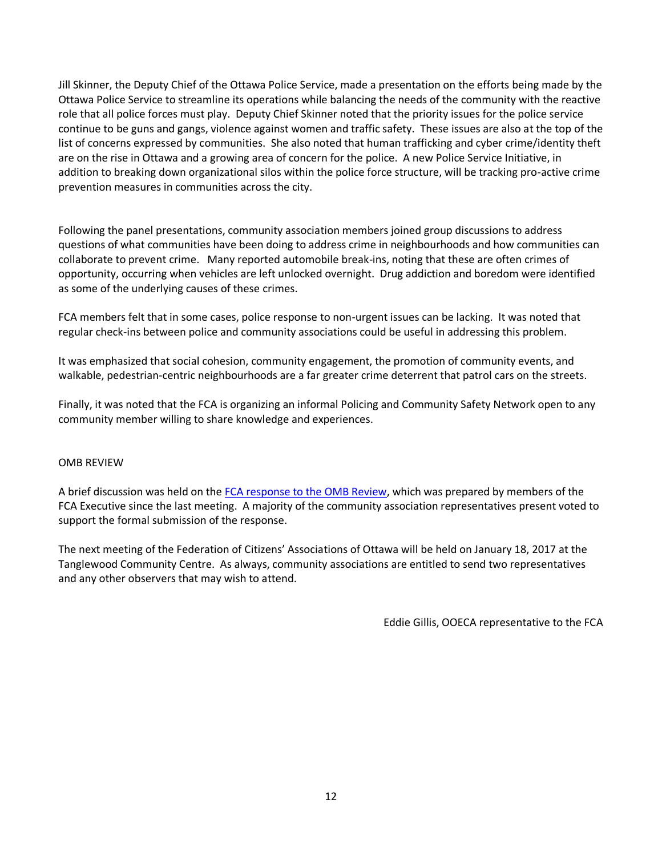Jill Skinner, the Deputy Chief of the Ottawa Police Service, made a presentation on the efforts being made by the Ottawa Police Service to streamline its operations while balancing the needs of the community with the reactive role that all police forces must play. Deputy Chief Skinner noted that the priority issues for the police service continue to be guns and gangs, violence against women and traffic safety. These issues are also at the top of the list of concerns expressed by communities. She also noted that human trafficking and cyber crime/identity theft are on the rise in Ottawa and a growing area of concern for the police. A new Police Service Initiative, in addition to breaking down organizational silos within the police force structure, will be tracking pro-active crime prevention measures in communities across the city.

Following the panel presentations, community association members joined group discussions to address questions of what communities have been doing to address crime in neighbourhoods and how communities can collaborate to prevent crime. Many reported automobile break-ins, noting that these are often crimes of opportunity, occurring when vehicles are left unlocked overnight. Drug addiction and boredom were identified as some of the underlying causes of these crimes.

FCA members felt that in some cases, police response to non-urgent issues can be lacking. It was noted that regular check-ins between police and community associations could be useful in addressing this problem.

It was emphasized that social cohesion, community engagement, the promotion of community events, and walkable, pedestrian-centric neighbourhoods are a far greater crime deterrent that patrol cars on the streets.

Finally, it was noted that the FCA is organizing an informal Policing and Community Safety Network open to any community member willing to share knowledge and experiences.

# OMB REVIEW

A brief discussion was held on the [FCA response to the OMB Review,](FCA%20response%20to%20OMB%20Review.doc) which was prepared by members of the FCA Executive since the last meeting. A majority of the community association representatives present voted to support the formal submission of the response.

The next meeting of the Federation of Citizens' Associations of Ottawa will be held on January 18, 2017 at the Tanglewood Community Centre. As always, community associations are entitled to send two representatives and any other observers that may wish to attend.

Eddie Gillis, OOECA representative to the FCA